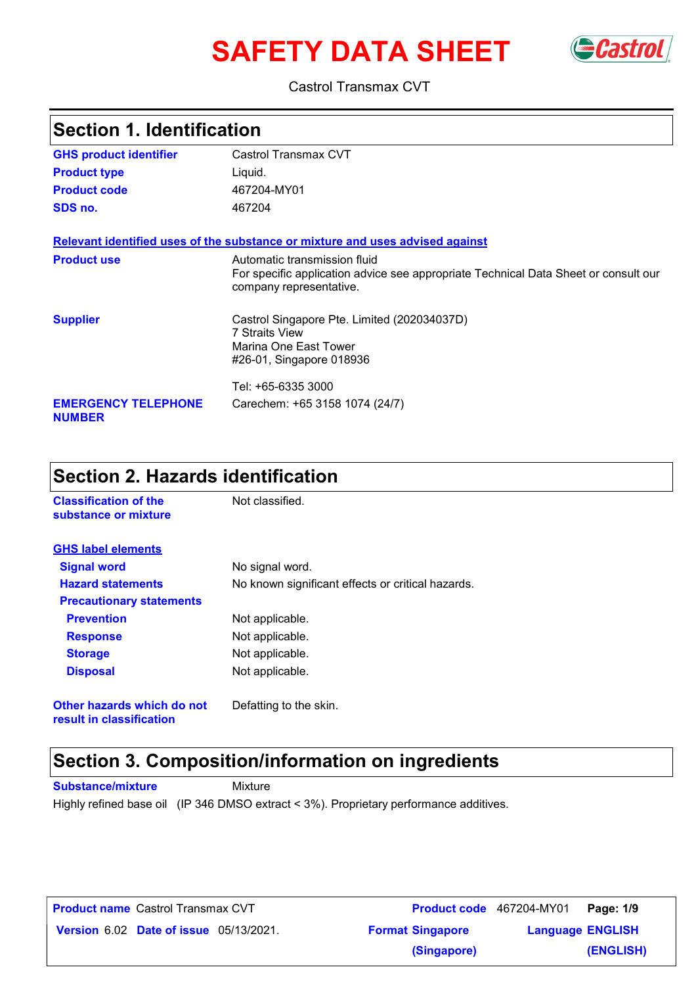# **SAFETY DATA SHEET** GCastrol



#### Castrol Transmax CVT

| Section 1. Identification                   |                                                                                                                                                |  |
|---------------------------------------------|------------------------------------------------------------------------------------------------------------------------------------------------|--|
| <b>GHS product identifier</b>               | Castrol Transmax CVT                                                                                                                           |  |
| <b>Product type</b>                         | Liquid.                                                                                                                                        |  |
| <b>Product code</b>                         | 467204-MY01                                                                                                                                    |  |
| SDS no.                                     | 467204                                                                                                                                         |  |
|                                             | Relevant identified uses of the substance or mixture and uses advised against                                                                  |  |
| <b>Product use</b>                          | Automatic transmission fluid<br>For specific application advice see appropriate Technical Data Sheet or consult our<br>company representative. |  |
| <b>Supplier</b>                             | Castrol Singapore Pte. Limited (202034037D)<br><b>7 Straits View</b><br>Marina One East Tower<br>#26-01, Singapore 018936                      |  |
|                                             | Tel: +65-6335 3000                                                                                                                             |  |
| <b>EMERGENCY TELEPHONE</b><br><b>NUMBER</b> | Carechem: +65 3158 1074 (24/7)                                                                                                                 |  |

### **Section 2. Hazards identification**

| <b>Classification of the</b><br>substance or mixture   | Not classified.                                   |
|--------------------------------------------------------|---------------------------------------------------|
| <b>GHS label elements</b>                              |                                                   |
| <b>Signal word</b>                                     | No signal word.                                   |
| <b>Hazard statements</b>                               | No known significant effects or critical hazards. |
| <b>Precautionary statements</b>                        |                                                   |
| <b>Prevention</b>                                      | Not applicable.                                   |
| <b>Response</b>                                        | Not applicable.                                   |
| <b>Storage</b>                                         | Not applicable.                                   |
| <b>Disposal</b>                                        | Not applicable.                                   |
| Other hazards which do not<br>result in classification | Defatting to the skin.                            |

## **Section 3. Composition/information on ingredients**

**Substance/mixture** Mixture

Highly refined base oil (IP 346 DMSO extract < 3%). Proprietary performance additives.

| <b>Product name</b> Castrol Transmax CVT      | <b>Product code</b> 467204-MY01 | Page: 1/9               |  |
|-----------------------------------------------|---------------------------------|-------------------------|--|
| <b>Version 6.02 Date of issue 05/13/2021.</b> | <b>Format Singapore</b>         | <b>Language ENGLISH</b> |  |
|                                               | (Singapore)                     | (ENGLISH)               |  |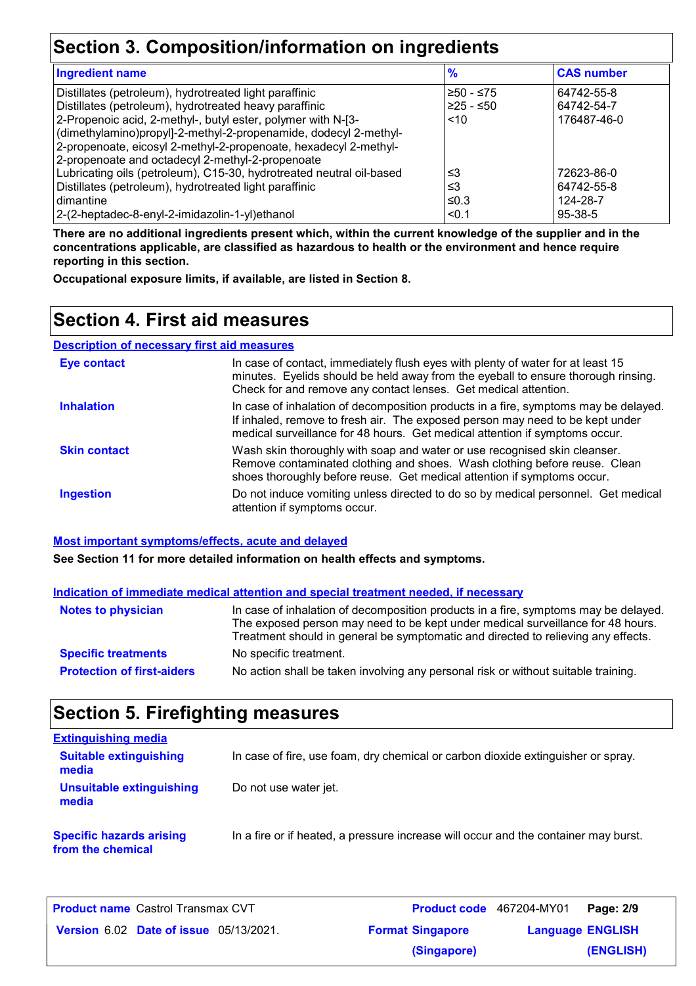## **Section 3. Composition/information on ingredients**

| <b>Ingredient name</b>                                               | $\frac{9}{6}$ | <b>CAS number</b> |
|----------------------------------------------------------------------|---------------|-------------------|
| Distillates (petroleum), hydrotreated light paraffinic               | 1≥50 - ≤75    | 64742-55-8        |
| Distillates (petroleum), hydrotreated heavy paraffinic               | $≥25 - ≤50$   | 64742-54-7        |
| 2-Propenoic acid, 2-methyl-, butyl ester, polymer with N-[3-         | ~10           | 176487-46-0       |
| (dimethylamino)propyl]-2-methyl-2-propenamide, dodecyl 2-methyl-     |               |                   |
| 2-propenoate, eicosyl 2-methyl-2-propenoate, hexadecyl 2-methyl-     |               |                   |
| 2-propenoate and octadecyl 2-methyl-2-propenoate                     |               |                   |
| Lubricating oils (petroleum), C15-30, hydrotreated neutral oil-based | ≤3            | 72623-86-0        |
| Distillates (petroleum), hydrotreated light paraffinic               | ≤3            | 64742-55-8        |
| dimantine                                                            | $\leq 0.3$    | 124-28-7          |
| 2-(2-heptadec-8-enyl-2-imidazolin-1-yl)ethanol                       | < 0.1         | 95-38-5           |

**There are no additional ingredients present which, within the current knowledge of the supplier and in the concentrations applicable, are classified as hazardous to health or the environment and hence require reporting in this section.**

**Occupational exposure limits, if available, are listed in Section 8.**

### **Section 4. First aid measures**

**Description of necessary first aid measures**

| <b>Eye contact</b>  | In case of contact, immediately flush eyes with plenty of water for at least 15<br>minutes. Eyelids should be held away from the eyeball to ensure thorough rinsing.<br>Check for and remove any contact lenses. Get medical attention.             |
|---------------------|-----------------------------------------------------------------------------------------------------------------------------------------------------------------------------------------------------------------------------------------------------|
| <b>Inhalation</b>   | In case of inhalation of decomposition products in a fire, symptoms may be delayed.<br>If inhaled, remove to fresh air. The exposed person may need to be kept under<br>medical surveillance for 48 hours. Get medical attention if symptoms occur. |
| <b>Skin contact</b> | Wash skin thoroughly with soap and water or use recognised skin cleanser.<br>Remove contaminated clothing and shoes. Wash clothing before reuse. Clean<br>shoes thoroughly before reuse. Get medical attention if symptoms occur.                   |
| <b>Ingestion</b>    | Do not induce vomiting unless directed to do so by medical personnel. Get medical<br>attention if symptoms occur.                                                                                                                                   |

#### **Most important symptoms/effects, acute and delayed**

**See Section 11 for more detailed information on health effects and symptoms.**

#### **Protection of first-aiders** No action shall be taken involving any personal risk or without suitable training. Notes to physician In case of inhalation of decomposition products in a fire, symptoms may be delayed. The exposed person may need to be kept under medical surveillance for 48 hours. Treatment should in general be symptomatic and directed to relieving any effects. **Specific treatments** No specific treatment. **Indication of immediate medical attention and special treatment needed, if necessary**

### **Section 5. Firefighting measures**

| <b>Extinguishing media</b>                           |                                                                                     |
|------------------------------------------------------|-------------------------------------------------------------------------------------|
| <b>Suitable extinguishing</b><br>media               | In case of fire, use foam, dry chemical or carbon dioxide extinguisher or spray.    |
| <b>Unsuitable extinguishing</b><br>media             | Do not use water jet.                                                               |
| <b>Specific hazards arising</b><br>from the chemical | In a fire or if heated, a pressure increase will occur and the container may burst. |

| <b>Product name</b> Castrol Transmax CVT      | Product code 467204-MY01 | Page: 2/9               |
|-----------------------------------------------|--------------------------|-------------------------|
| <b>Version 6.02 Date of issue 05/13/2021.</b> | <b>Format Singapore</b>  | <b>Language ENGLISH</b> |
|                                               | (Singapore)              | (ENGLISH)               |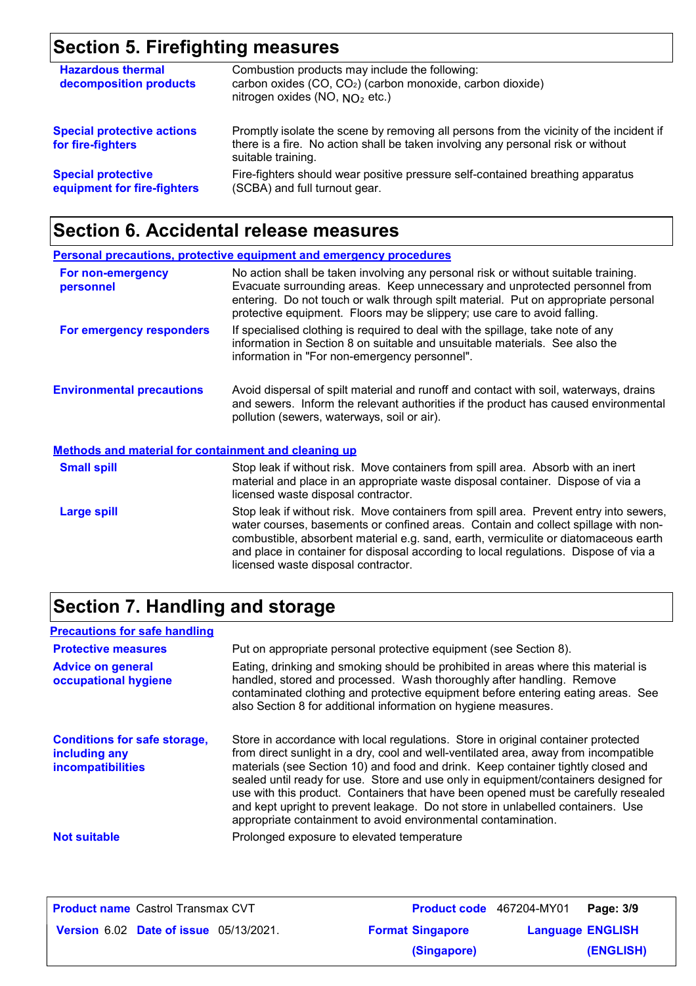## **Section 5. Firefighting measures**

| <b>Hazardous thermal</b><br>decomposition products       | Combustion products may include the following:<br>carbon oxides (CO, CO <sub>2</sub> ) (carbon monoxide, carbon dioxide)<br>nitrogen oxides (NO, $NO2$ etc.)                                      |
|----------------------------------------------------------|---------------------------------------------------------------------------------------------------------------------------------------------------------------------------------------------------|
| <b>Special protective actions</b><br>for fire-fighters   | Promptly isolate the scene by removing all persons from the vicinity of the incident if<br>there is a fire. No action shall be taken involving any personal risk or without<br>suitable training. |
| <b>Special protective</b><br>equipment for fire-fighters | Fire-fighters should wear positive pressure self-contained breathing apparatus<br>(SCBA) and full turnout gear.                                                                                   |

## **Section 6. Accidental release measures**

|                                                             | <b>Personal precautions, protective equipment and emergency procedures</b>                                                                                                                                                                                                                                                                                                                         |
|-------------------------------------------------------------|----------------------------------------------------------------------------------------------------------------------------------------------------------------------------------------------------------------------------------------------------------------------------------------------------------------------------------------------------------------------------------------------------|
| For non-emergency<br>personnel                              | No action shall be taken involving any personal risk or without suitable training.<br>Evacuate surrounding areas. Keep unnecessary and unprotected personnel from<br>entering. Do not touch or walk through spilt material. Put on appropriate personal<br>protective equipment. Floors may be slippery; use care to avoid falling.                                                                |
| For emergency responders                                    | If specialised clothing is required to deal with the spillage, take note of any<br>information in Section 8 on suitable and unsuitable materials. See also the<br>information in "For non-emergency personnel".                                                                                                                                                                                    |
| <b>Environmental precautions</b>                            | Avoid dispersal of spilt material and runoff and contact with soil, waterways, drains<br>and sewers. Inform the relevant authorities if the product has caused environmental<br>pollution (sewers, waterways, soil or air).                                                                                                                                                                        |
| <b>Methods and material for containment and cleaning up</b> |                                                                                                                                                                                                                                                                                                                                                                                                    |
| <b>Small spill</b>                                          | Stop leak if without risk. Move containers from spill area. Absorb with an inert<br>material and place in an appropriate waste disposal container. Dispose of via a<br>licensed waste disposal contractor.                                                                                                                                                                                         |
| <b>Large spill</b>                                          | Stop leak if without risk. Move containers from spill area. Prevent entry into sewers,<br>water courses, basements or confined areas. Contain and collect spillage with non-<br>combustible, absorbent material e.g. sand, earth, vermiculite or diatomaceous earth<br>and place in container for disposal according to local regulations. Dispose of via a<br>licensed waste disposal contractor. |

## **Section 7. Handling and storage**

| <b>Precautions for safe handling</b>                                      |                                                                                                                                                                                                                                                                                                                                                                                                                                                                                                                                                                                                |
|---------------------------------------------------------------------------|------------------------------------------------------------------------------------------------------------------------------------------------------------------------------------------------------------------------------------------------------------------------------------------------------------------------------------------------------------------------------------------------------------------------------------------------------------------------------------------------------------------------------------------------------------------------------------------------|
| <b>Protective measures</b>                                                | Put on appropriate personal protective equipment (see Section 8).                                                                                                                                                                                                                                                                                                                                                                                                                                                                                                                              |
| <b>Advice on general</b><br>occupational hygiene                          | Eating, drinking and smoking should be prohibited in areas where this material is<br>handled, stored and processed. Wash thoroughly after handling. Remove<br>contaminated clothing and protective equipment before entering eating areas. See<br>also Section 8 for additional information on hygiene measures.                                                                                                                                                                                                                                                                               |
| <b>Conditions for safe storage,</b><br>including any<br>incompatibilities | Store in accordance with local regulations. Store in original container protected<br>from direct sunlight in a dry, cool and well-ventilated area, away from incompatible<br>materials (see Section 10) and food and drink. Keep container tightly closed and<br>sealed until ready for use. Store and use only in equipment/containers designed for<br>use with this product. Containers that have been opened must be carefully resealed<br>and kept upright to prevent leakage. Do not store in unlabelled containers. Use<br>appropriate containment to avoid environmental contamination. |
| <b>Not suitable</b>                                                       | Prolonged exposure to elevated temperature                                                                                                                                                                                                                                                                                                                                                                                                                                                                                                                                                     |

| <b>Product name Castrol Transmax CVT</b>      |                         | <b>Product code</b> 467204-MY01<br>Page: 3/9 |
|-----------------------------------------------|-------------------------|----------------------------------------------|
| <b>Version 6.02 Date of issue 05/13/2021.</b> | <b>Format Singapore</b> | <b>Language ENGLISH</b>                      |
|                                               | (Singapore)             | (ENGLISH)                                    |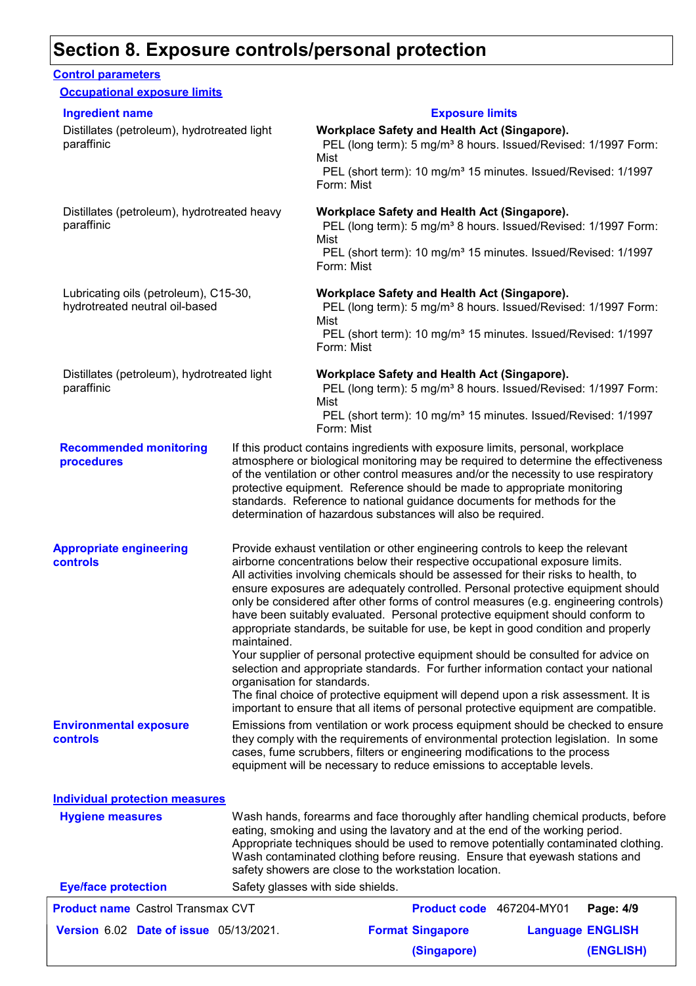### **Section 8. Exposure controls/personal protection**

#### **Recommended monitoring procedures** If this product contains ingredients with exposure limits, personal, workplace atmosphere or biological monitoring may be required to determine the effectiveness of the ventilation or other control measures and/or the necessity to use respiratory protective equipment. Reference should be made to appropriate monitoring standards. Reference to national guidance documents for methods for the determination of hazardous substances will also be required. **Eye/face protection** Safety glasses with side shields. **Environmental exposure controls** Emissions from ventilation or work process equipment should be checked to ensure they comply with the requirements of environmental protection legislation. In some cases, fume scrubbers, filters or engineering modifications to the process equipment will be necessary to reduce emissions to acceptable levels. **Appropriate engineering controls** Provide exhaust ventilation or other engineering controls to keep the relevant airborne concentrations below their respective occupational exposure limits. All activities involving chemicals should be assessed for their risks to health, to ensure exposures are adequately controlled. Personal protective equipment should only be considered after other forms of control measures (e.g. engineering controls) have been suitably evaluated. Personal protective equipment should conform to appropriate standards, be suitable for use, be kept in good condition and properly maintained. Your supplier of personal protective equipment should be consulted for advice on selection and appropriate standards. For further information contact your national organisation for standards. The final choice of protective equipment will depend upon a risk assessment. It is important to ensure that all items of personal protective equipment are compatible. Wash hands, forearms and face thoroughly after handling chemical products, before eating, smoking and using the lavatory and at the end of the working period. Appropriate techniques should be used to remove potentially contaminated clothing. Wash contaminated clothing before reusing. Ensure that eyewash stations and safety showers are close to the workstation location. **Hygiene measures Control parameters Individual protection measures Occupational exposure limits** Distillates (petroleum), hydrotreated light paraffinic **Workplace Safety and Health Act (Singapore).** PEL (long term): 5 mg/m<sup>3</sup> 8 hours. Issued/Revised: 1/1997 Form: Mist PEL (short term): 10 mg/m<sup>3</sup> 15 minutes. Issued/Revised: 1/1997 Form: Mist Distillates (petroleum), hydrotreated heavy paraffinic **Workplace Safety and Health Act (Singapore).** PEL (long term): 5 mg/m<sup>3</sup> 8 hours. Issued/Revised: 1/1997 Form: Mist PEL (short term): 10 mg/m<sup>3</sup> 15 minutes. Issued/Revised: 1/1997 Form: Mist Lubricating oils (petroleum), C15-30, hydrotreated neutral oil-based **Workplace Safety and Health Act (Singapore).** PEL (long term): 5 mg/m<sup>3</sup> 8 hours. Issued/Revised: 1/1997 Form: Mist PEL (short term): 10 mg/m<sup>3</sup> 15 minutes. Issued/Revised: 1/1997 Form: Mist Distillates (petroleum), hydrotreated light paraffinic **Workplace Safety and Health Act (Singapore).** PEL (long term): 5 mg/m<sup>3</sup> 8 hours. Issued/Revised: 1/1997 Form: Mist PEL (short term): 10 mg/m<sup>3</sup> 15 minutes. Issued/Revised: 1/1997 Form: Mist **Ingredient name Exposure limits Date of issue** 05/13/2021. **Profit is a Constantine Constructed Managuage ENGLIS** Castrol Transmax CVT **Page: 4/9** 467204-MY01 **Language ENGLISH (ENGLISH) Product name** Castrol Transmax CVT **(Singapore)**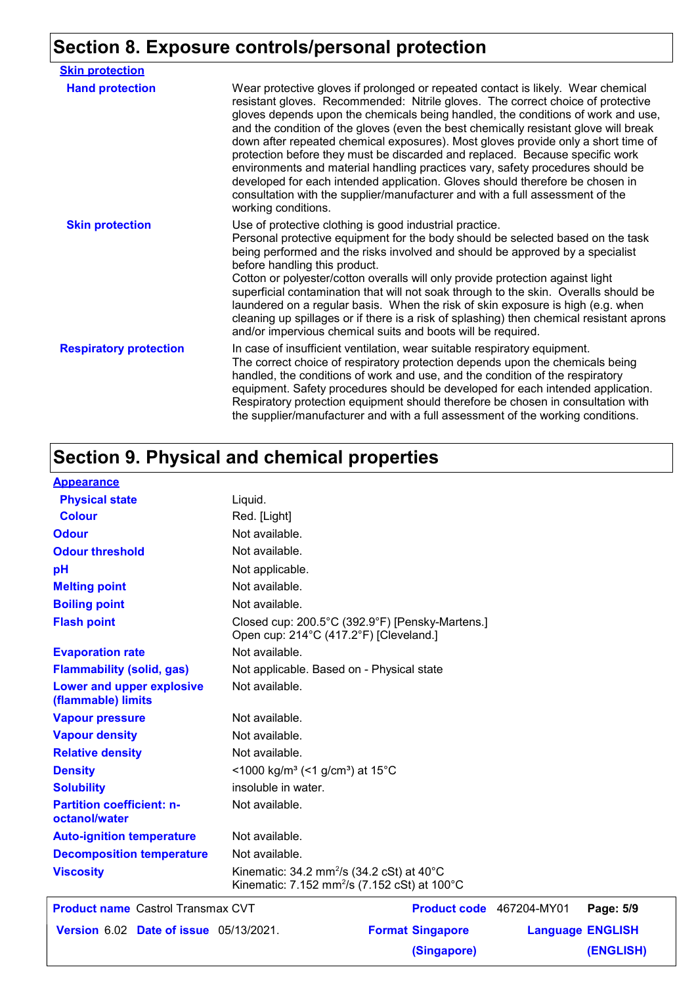# **Section 8. Exposure controls/personal protection**

| <b>Skin protection</b>        |                                                                                                                                                                                                                                                                                                                                                                                                                                                                                                                                                                                                                                                                                                                                                                                                 |
|-------------------------------|-------------------------------------------------------------------------------------------------------------------------------------------------------------------------------------------------------------------------------------------------------------------------------------------------------------------------------------------------------------------------------------------------------------------------------------------------------------------------------------------------------------------------------------------------------------------------------------------------------------------------------------------------------------------------------------------------------------------------------------------------------------------------------------------------|
| <b>Hand protection</b>        | Wear protective gloves if prolonged or repeated contact is likely. Wear chemical<br>resistant gloves. Recommended: Nitrile gloves. The correct choice of protective<br>gloves depends upon the chemicals being handled, the conditions of work and use,<br>and the condition of the gloves (even the best chemically resistant glove will break<br>down after repeated chemical exposures). Most gloves provide only a short time of<br>protection before they must be discarded and replaced. Because specific work<br>environments and material handling practices vary, safety procedures should be<br>developed for each intended application. Gloves should therefore be chosen in<br>consultation with the supplier/manufacturer and with a full assessment of the<br>working conditions. |
| <b>Skin protection</b>        | Use of protective clothing is good industrial practice.<br>Personal protective equipment for the body should be selected based on the task<br>being performed and the risks involved and should be approved by a specialist<br>before handling this product.<br>Cotton or polyester/cotton overalls will only provide protection against light<br>superficial contamination that will not soak through to the skin. Overalls should be<br>laundered on a regular basis. When the risk of skin exposure is high (e.g. when<br>cleaning up spillages or if there is a risk of splashing) then chemical resistant aprons<br>and/or impervious chemical suits and boots will be required.                                                                                                           |
| <b>Respiratory protection</b> | In case of insufficient ventilation, wear suitable respiratory equipment.<br>The correct choice of respiratory protection depends upon the chemicals being<br>handled, the conditions of work and use, and the condition of the respiratory<br>equipment. Safety procedures should be developed for each intended application.<br>Respiratory protection equipment should therefore be chosen in consultation with<br>the supplier/manufacturer and with a full assessment of the working conditions.                                                                                                                                                                                                                                                                                           |

## **Section 9. Physical and chemical properties**

| <b>Appearance</b>                                 |                                                                                                                        |
|---------------------------------------------------|------------------------------------------------------------------------------------------------------------------------|
| <b>Physical state</b>                             | Liquid.                                                                                                                |
| <b>Colour</b>                                     | Red. [Light]                                                                                                           |
| <b>Odour</b>                                      | Not available.                                                                                                         |
| <b>Odour threshold</b>                            | Not available.                                                                                                         |
| pH                                                | Not applicable.                                                                                                        |
| <b>Melting point</b>                              | Not available.                                                                                                         |
| <b>Boiling point</b>                              | Not available.                                                                                                         |
| <b>Flash point</b>                                | Closed cup: 200.5°C (392.9°F) [Pensky-Martens.]<br>Open cup: 214°C (417.2°F) [Cleveland.]                              |
| <b>Evaporation rate</b>                           | Not available.                                                                                                         |
| <b>Flammability (solid, gas)</b>                  | Not applicable. Based on - Physical state                                                                              |
| Lower and upper explosive<br>(flammable) limits   | Not available.                                                                                                         |
| <b>Vapour pressure</b>                            | Not available.                                                                                                         |
| <b>Vapour density</b>                             | Not available.                                                                                                         |
| <b>Relative density</b>                           | Not available.                                                                                                         |
| <b>Density</b>                                    | <1000 kg/m <sup>3</sup> (<1 g/cm <sup>3</sup> ) at 15 <sup>°</sup> C                                                   |
| <b>Solubility</b>                                 | insoluble in water.                                                                                                    |
| <b>Partition coefficient: n-</b><br>octanol/water | Not available.                                                                                                         |
| <b>Auto-ignition temperature</b>                  | Not available.                                                                                                         |
| <b>Decomposition temperature</b>                  | Not available.                                                                                                         |
| <b>Viscosity</b>                                  | Kinematic: $34.2 \text{ mm}^2/\text{s}$ (34.2 cSt) at 40°C<br>Kinematic: 7.152 mm <sup>2</sup> /s (7.152 cSt) at 100°C |
| <b>Product name Castrol Transmax CVT</b>          | Product code 467204-MY01<br>Page: 5/9                                                                                  |
|                                                   |                                                                                                                        |

| <b>Product name</b> Castrol Transmax CVT      |                         | <b>Product code</b> 467204-MY01<br>Page: 5/9 |  |
|-----------------------------------------------|-------------------------|----------------------------------------------|--|
| <b>Version 6.02 Date of issue 05/13/2021.</b> | <b>Format Singapore</b> | <b>Language ENGLISH</b>                      |  |
|                                               | (Singapore)             | (ENGLISH)                                    |  |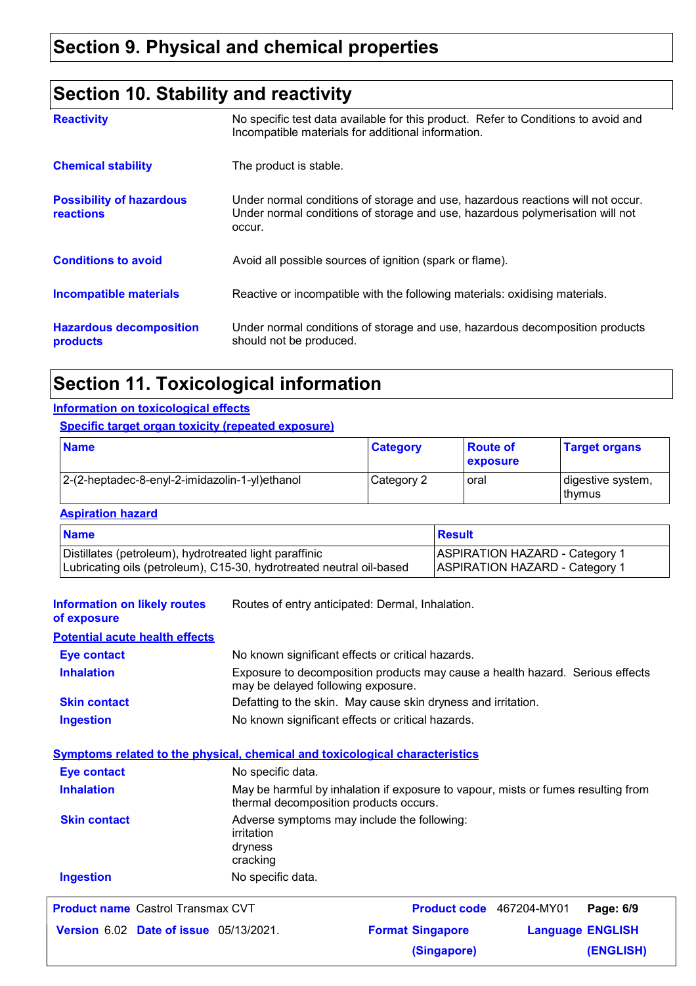## **Section 10. Stability and reactivity**

| <b>Reactivity</b>                            | No specific test data available for this product. Refer to Conditions to avoid and<br>Incompatible materials for additional information.                                   |
|----------------------------------------------|----------------------------------------------------------------------------------------------------------------------------------------------------------------------------|
| <b>Chemical stability</b>                    | The product is stable.                                                                                                                                                     |
| <b>Possibility of hazardous</b><br>reactions | Under normal conditions of storage and use, hazardous reactions will not occur.<br>Under normal conditions of storage and use, hazardous polymerisation will not<br>occur. |
| <b>Conditions to avoid</b>                   | Avoid all possible sources of ignition (spark or flame).                                                                                                                   |
| <b>Incompatible materials</b>                | Reactive or incompatible with the following materials: oxidising materials.                                                                                                |
| <b>Hazardous decomposition</b><br>products   | Under normal conditions of storage and use, hazardous decomposition products<br>should not be produced.                                                                    |

## **Section 11. Toxicological information**

#### **Information on toxicological effects**

#### **Specific target organ toxicity (repeated exposure)**

| <b>Name</b>                                    | <b>Category</b> | <b>Boute of</b><br><b>exposure</b> | <b>Target organs</b>        |
|------------------------------------------------|-----------------|------------------------------------|-----------------------------|
| 2-(2-heptadec-8-enyl-2-imidazolin-1-yl)ethanol | Category 2      | oral                               | digestive system,<br>thymus |

#### **Aspiration hazard**

| <b>Name</b>                                                          | <b>Besult</b>                         |
|----------------------------------------------------------------------|---------------------------------------|
| Distillates (petroleum), hydrotreated light paraffinic               | <b>ASPIRATION HAZARD - Category 1</b> |
| Lubricating oils (petroleum), C15-30, hydrotreated neutral oil-based | <b>ASPIRATION HAZARD - Category 1</b> |

| <b>Information on likely routes</b><br>of exposure | Routes of entry anticipated: Dermal, Inhalation.                                                                            |
|----------------------------------------------------|-----------------------------------------------------------------------------------------------------------------------------|
| <b>Potential acute health effects</b>              |                                                                                                                             |
| <b>Eye contact</b>                                 | No known significant effects or critical hazards.                                                                           |
| <b>Inhalation</b>                                  | Exposure to decomposition products may cause a health hazard. Serious effects<br>may be delayed following exposure.         |
| <b>Skin contact</b>                                | Defatting to the skin. May cause skin dryness and irritation.                                                               |
| <b>Ingestion</b>                                   | No known significant effects or critical hazards.                                                                           |
|                                                    | <b>Symptoms related to the physical, chemical and toxicological characteristics</b>                                         |
| <b>Eye contact</b>                                 | No specific data.                                                                                                           |
| <b>Inhalation</b>                                  | May be harmful by inhalation if exposure to vapour, mists or fumes resulting from<br>thermal decomposition products occurs. |
| <b>Skin contact</b>                                | Adverse symptoms may include the following:<br>irritation<br>dryness<br>cracking                                            |
| <b>Ingestion</b>                                   | No specific data.                                                                                                           |
| <b>Product name Castrol Transmax CVT</b>           | <b>Product code</b> 467204-MY01<br>Page: 6/9                                                                                |
| Version 6.02 Date of issue 05/13/2021.             | <b>Language ENGLISH</b><br><b>Format Singapore</b>                                                                          |

**(Singapore)**

**(ENGLISH)**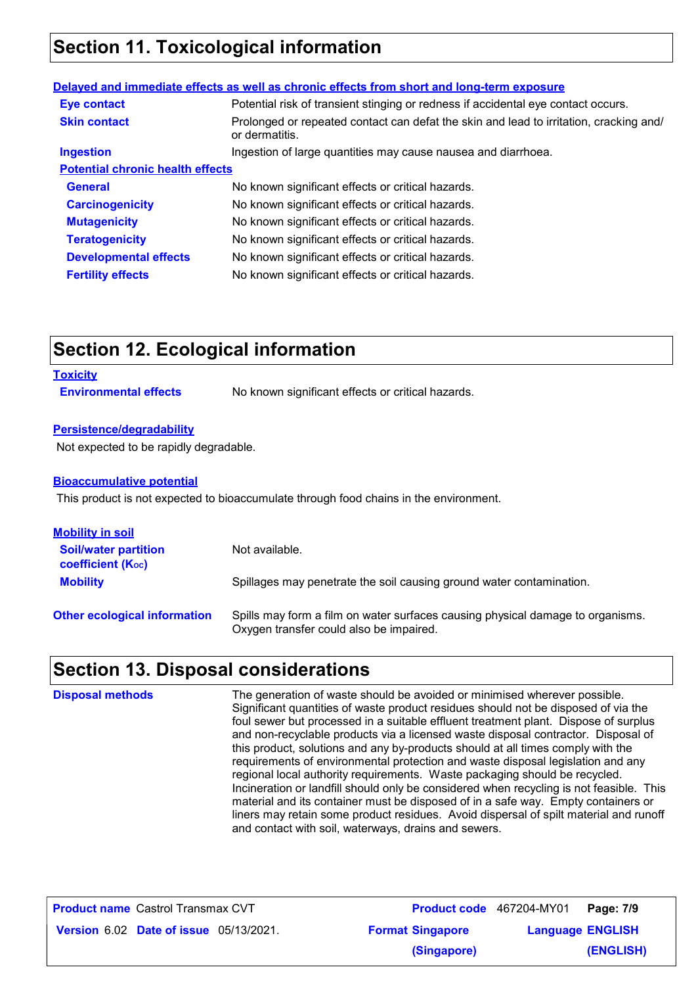## **Section 11. Toxicological information**

#### **General** The Supersteed Moknown significant effects or critical hazards. **Carcinogenicity** No known significant effects or critical hazards. **Mutagenicity** No known significant effects or critical hazards. **Teratogenicity** No known significant effects or critical hazards. **Developmental effects** No known significant effects or critical hazards. **Fertility effects** No known significant effects or critical hazards. **Potential chronic health effects** Ingestion of large quantities may cause nausea and diarrhoea. Potential risk of transient stinging or redness if accidental eye contact occurs. Prolonged or repeated contact can defat the skin and lead to irritation, cracking and/ or dermatitis. **Eye contact Skin contact Ingestion Delayed and immediate effects as well as chronic effects from short and long-term exposure**

## **Section 12. Ecological information**

#### **Toxicity**

**Environmental effects** No known significant effects or critical hazards.

#### **Persistence/degradability**

Not expected to be rapidly degradable.

#### **Bioaccumulative potential**

This product is not expected to bioaccumulate through food chains in the environment.

| <b>Mobility in soil</b>                                 |                                                                                                                           |
|---------------------------------------------------------|---------------------------------------------------------------------------------------------------------------------------|
| <b>Soil/water partition</b><br><b>coefficient (Koc)</b> | Not available.                                                                                                            |
| <b>Mobility</b>                                         | Spillages may penetrate the soil causing ground water contamination.                                                      |
| <b>Other ecological information</b>                     | Spills may form a film on water surfaces causing physical damage to organisms.<br>Oxygen transfer could also be impaired. |

### **Section 13. Disposal considerations**

The generation of waste should be avoided or minimised wherever possible. Significant quantities of waste product residues should not be disposed of via the foul sewer but processed in a suitable effluent treatment plant. Dispose of surplus and non-recyclable products via a licensed waste disposal contractor. Disposal of this product, solutions and any by-products should at all times comply with the requirements of environmental protection and waste disposal legislation and any regional local authority requirements. Waste packaging should be recycled. Incineration or landfill should only be considered when recycling is not feasible. This material and its container must be disposed of in a safe way. Empty containers or liners may retain some product residues. Avoid dispersal of spilt material and runoff and contact with soil, waterways, drains and sewers. **Disposal methods**

| <b>Product name Castrol Transmax CVT</b>      |                         | <b>Product code</b> 467204-MY01   Page: 7/9 |           |
|-----------------------------------------------|-------------------------|---------------------------------------------|-----------|
| <b>Version 6.02 Date of issue 05/13/2021.</b> | <b>Format Singapore</b> | <b>Language ENGLISH</b>                     |           |
|                                               | (Singapore)             |                                             | (ENGLISH) |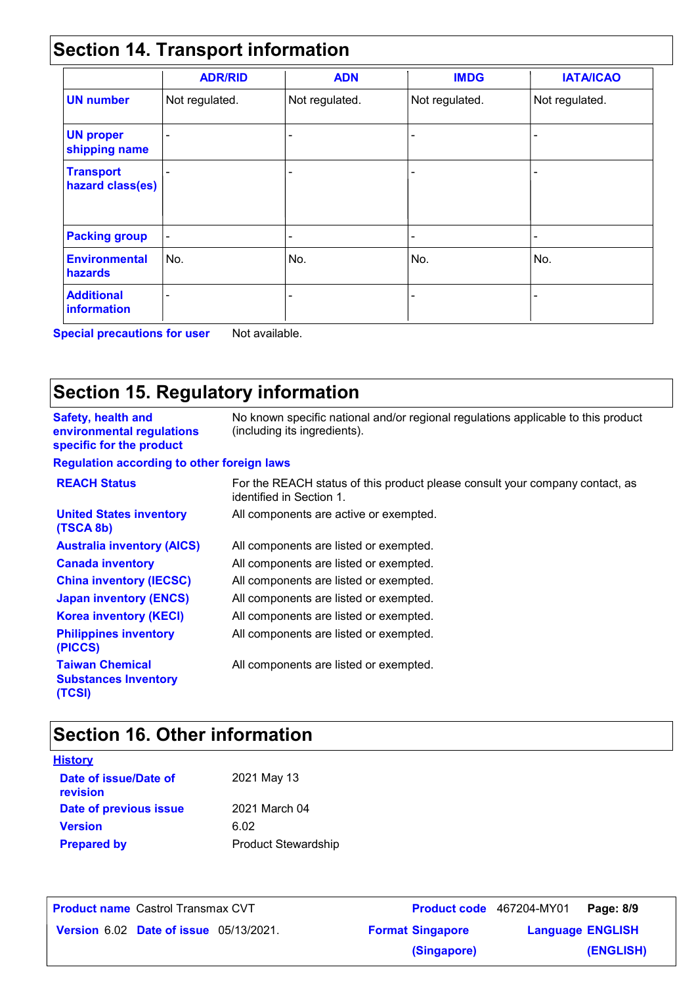## **Section 14. Transport information**

|                                      | <b>ADR/RID</b>           | <b>ADN</b>                   | <b>IMDG</b>              | <b>IATA/ICAO</b> |
|--------------------------------------|--------------------------|------------------------------|--------------------------|------------------|
| <b>UN number</b>                     | Not regulated.           | Not regulated.               | Not regulated.           | Not regulated.   |
| <b>UN proper</b><br>shipping name    |                          | $\qquad \qquad \blacksquare$ |                          |                  |
| <b>Transport</b><br>hazard class(es) |                          | $\overline{\phantom{a}}$     | $\overline{\phantom{0}}$ |                  |
| <b>Packing group</b>                 | $\overline{\phantom{a}}$ | $\overline{\phantom{a}}$     | -                        | -                |
| <b>Environmental</b><br>hazards      | No.                      | No.                          | No.                      | No.              |
| <b>Additional</b><br>information     |                          |                              |                          |                  |

**Special precautions for user** Not available.

## **Section 15. Regulatory information**

| <b>Safety, health and</b><br>environmental regulations<br>specific for the product | No known specific national and/or regional regulations applicable to this product<br>(including its ingredients). |
|------------------------------------------------------------------------------------|-------------------------------------------------------------------------------------------------------------------|
| <b>Regulation according to other foreign laws</b>                                  |                                                                                                                   |
| <b>REACH Status</b>                                                                | For the REACH status of this product please consult your company contact, as<br>identified in Section 1.          |
| <b>United States inventory</b><br>(TSCA 8b)                                        | All components are active or exempted.                                                                            |
| <b>Australia inventory (AICS)</b>                                                  | All components are listed or exempted.                                                                            |
| <b>Canada inventory</b>                                                            | All components are listed or exempted.                                                                            |
| <b>China inventory (IECSC)</b>                                                     | All components are listed or exempted.                                                                            |
| <b>Japan inventory (ENCS)</b>                                                      | All components are listed or exempted.                                                                            |
| <b>Korea inventory (KECI)</b>                                                      | All components are listed or exempted.                                                                            |
| <b>Philippines inventory</b><br>(PICCS)                                            | All components are listed or exempted.                                                                            |
| <b>Taiwan Chemical</b><br><b>Substances Inventory</b><br>(TCSI)                    | All components are listed or exempted.                                                                            |

## **Section 16. Other information**

| <b>History</b>                    |                            |
|-----------------------------------|----------------------------|
| Date of issue/Date of<br>revision | 2021 May 13                |
| Date of previous issue            | 2021 March 04              |
| <b>Version</b>                    | 6.02                       |
| <b>Prepared by</b>                | <b>Product Stewardship</b> |

| <b>Product name Castrol Transmax CVT</b>      |                         | Product code 467204-MY01 Page: 8/9 |           |
|-----------------------------------------------|-------------------------|------------------------------------|-----------|
| <b>Version 6.02 Date of issue 05/13/2021.</b> | <b>Format Singapore</b> | <b>Language ENGLISH</b>            |           |
|                                               | (Singapore)             |                                    | (ENGLISH) |